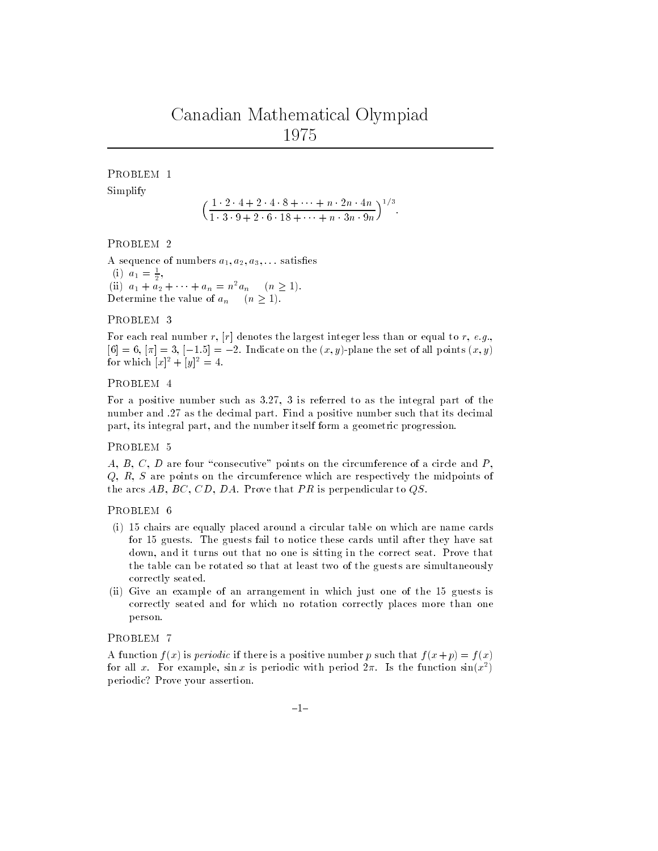# Canadian Mathematical Olympiad <sup>1975</sup>

## PROBLEM 1

Simplify

 $(1 \ 2 \ 4+2 \ 4 \ 8+ \ 7 \ n \ 2n \ 4n \ 1/2$  $1 \quad 3 \quad 3 + 2 \quad 0 \quad 10 + \quad 12 \quad 3 n \quad 3 n$  $\sqrt{173}$ 

PROBLEM 2

A sequence of numbers  $a_1, a_2, a_3, \ldots$  satisfies  $a_1 = \frac{1}{2},$ (ii)  $a_1 + a_2 + \cdots + a_n = n^2 a_n \quad (n \ge 1).$ Determine the value of  $a_n$   $(n \geq 1)$ .

#### PROBLEM 3

For each real number r,  $[r]$  denotes the largest integer less than or equal to r, e.g.,  $[6] = 6, |\pi| = 3, |-1.5| = -2.$  Indicate on the  $(x, y)$ -plane the set of all points  $(x, y)$ for which  $[x]^2 + [y]^2 = 4$ .

## PROBLEM 4

For a positive number such as 3.27, 3 is referred to as the integral part of the number and .27 as the decimal part. Find a positive number such that its decimal part, its integral part, and the number itself form a geometric progression.

## PROBLEM 5

 $A, B, C, D$  are four "consecutive" points on the circumference of a circle and  $P$ , Q, R, S are points on the circumference which are respectively the midpoints of the arcs  $AB$ ,  $BC$ ,  $CD$ ,  $DA$ . Prove that  $PR$  is perpendicular to  $QS$ .

#### PROBLEM 6

- (i) 15 chairs are equally placed around a circular table on which are name cards for 15 guests. The guests fail to notice these cards until after they have sat down, and it turns out that no one is sitting in the correct seat. Prove that the table can be rotated so that at least two of the guests are simultaneously correctly seated.
- (ii) Give an example of an arrangement in which just one of the 15 guests is correctly seated and for which no rotation correctly places more than one person.

#### PROBLEM 7

A function  $f(x)$  is *periodic* if there is a positive number p such that  $f(x+p) = f(x)$ for all x. For example,  $\sin x$  is periodic with period  $2\pi$ . Is the function  $\sin(x^{2})$ periodic? Prove your assertion.